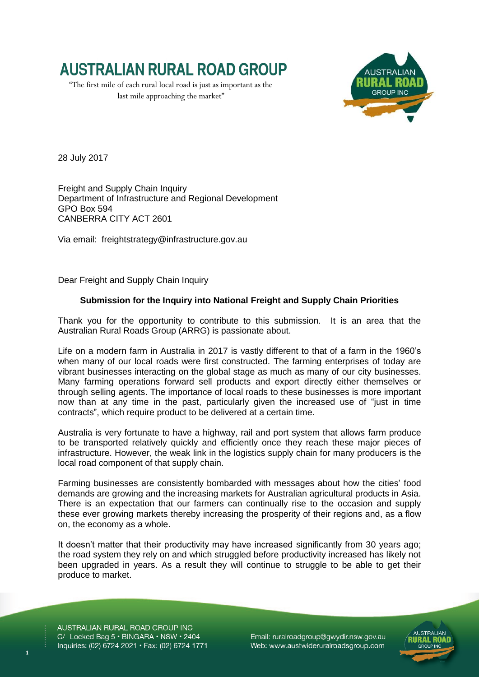

"The first mile of each rural local road is just as important as the last mile approaching the market"



28 July 2017

Freight and Supply Chain Inquiry Department of Infrastructure and Regional Development GPO Box 594 CANBERRA CITY ACT 2601

Via email: [freightstrategy@infrastructure.gov.au](mailto:freightstrategy@infrastructure.gov.au)

Dear Freight and Supply Chain Inquiry

## **Submission for the Inquiry into National Freight and Supply Chain Priorities**

Thank you for the opportunity to contribute to this submission. It is an area that the Australian Rural Roads Group (ARRG) is passionate about.

Life on a modern farm in Australia in 2017 is vastly different to that of a farm in the 1960's when many of our local roads were first constructed. The farming enterprises of today are vibrant businesses interacting on the global stage as much as many of our city businesses. Many farming operations forward sell products and export directly either themselves or through selling agents. The importance of local roads to these businesses is more important now than at any time in the past, particularly given the increased use of "just in time contracts", which require product to be delivered at a certain time.

Australia is very fortunate to have a highway, rail and port system that allows farm produce to be transported relatively quickly and efficiently once they reach these major pieces of infrastructure. However, the weak link in the logistics supply chain for many producers is the local road component of that supply chain.

Farming businesses are consistently bombarded with messages about how the cities' food demands are growing and the increasing markets for Australian agricultural products in Asia. There is an expectation that our farmers can continually rise to the occasion and supply these ever growing markets thereby increasing the prosperity of their regions and, as a flow on, the economy as a whole.

It doesn't matter that their productivity may have increased significantly from 30 years ago; the road system they rely on and which struggled before productivity increased has likely not been upgraded in years. As a result they will continue to struggle to be able to get their produce to market.

AUSTRALIAN RURAL ROAD GROUP INC C/- Locked Bag 5 · BINGARA · NSW · 2404 Inquiries: (02) 6724 2021 • Fax: (02) 6724 1771

Email: ruralroadgroup@gwydir.nsw.gov.au Web: www.austwideruralroadsgroup.com

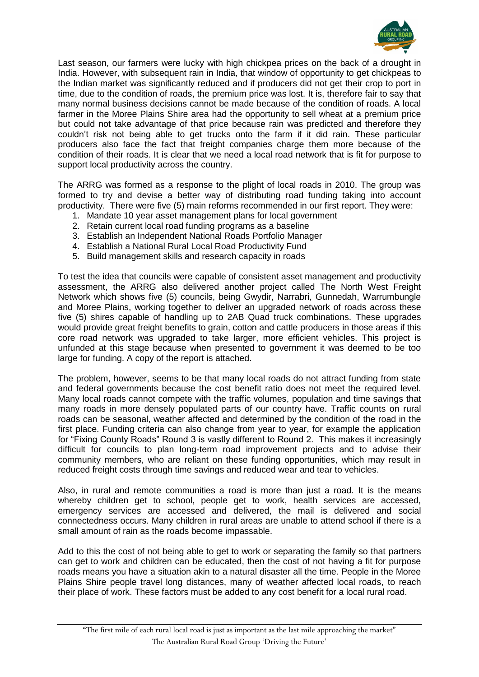

Last season, our farmers were lucky with high chickpea prices on the back of a drought in India. However, with subsequent rain in India, that window of opportunity to get chickpeas to the Indian market was significantly reduced and if producers did not get their crop to port in time, due to the condition of roads, the premium price was lost. It is, therefore fair to say that many normal business decisions cannot be made because of the condition of roads. A local farmer in the Moree Plains Shire area had the opportunity to sell wheat at a premium price but could not take advantage of that price because rain was predicted and therefore they couldn't risk not being able to get trucks onto the farm if it did rain. These particular producers also face the fact that freight companies charge them more because of the condition of their roads. It is clear that we need a local road network that is fit for purpose to support local productivity across the country.

The ARRG was formed as a response to the plight of local roads in 2010. The group was formed to try and devise a better way of distributing road funding taking into account productivity. There were five (5) main reforms recommended in our first report. They were:

- 1. Mandate 10 year asset management plans for local government
- 2. Retain current local road funding programs as a baseline
- 3. Establish an Independent National Roads Portfolio Manager
- 4. Establish a National Rural Local Road Productivity Fund
- 5. Build management skills and research capacity in roads

To test the idea that councils were capable of consistent asset management and productivity assessment, the ARRG also delivered another project called The North West Freight Network which shows five (5) councils, being Gwydir, Narrabri, Gunnedah, Warrumbungle and Moree Plains, working together to deliver an upgraded network of roads across these five (5) shires capable of handling up to 2AB Quad truck combinations. These upgrades would provide great freight benefits to grain, cotton and cattle producers in those areas if this core road network was upgraded to take larger, more efficient vehicles. This project is unfunded at this stage because when presented to government it was deemed to be too large for funding. A copy of the report is attached.

The problem, however, seems to be that many local roads do not attract funding from state and federal governments because the cost benefit ratio does not meet the required level. Many local roads cannot compete with the traffic volumes, population and time savings that many roads in more densely populated parts of our country have. Traffic counts on rural roads can be seasonal, weather affected and determined by the condition of the road in the first place. Funding criteria can also change from year to year, for example the application for "Fixing County Roads" Round 3 is vastly different to Round 2. This makes it increasingly difficult for councils to plan long-term road improvement projects and to advise their community members, who are reliant on these funding opportunities, which may result in reduced freight costs through time savings and reduced wear and tear to vehicles.

Also, in rural and remote communities a road is more than just a road. It is the means whereby children get to school, people get to work, health services are accessed, emergency services are accessed and delivered, the mail is delivered and social connectedness occurs. Many children in rural areas are unable to attend school if there is a small amount of rain as the roads become impassable.

Add to this the cost of not being able to get to work or separating the family so that partners can get to work and children can be educated, then the cost of not having a fit for purpose roads means you have a situation akin to a natural disaster all the time. People in the Moree Plains Shire people travel long distances, many of weather affected local roads, to reach their place of work. These factors must be added to any cost benefit for a local rural road.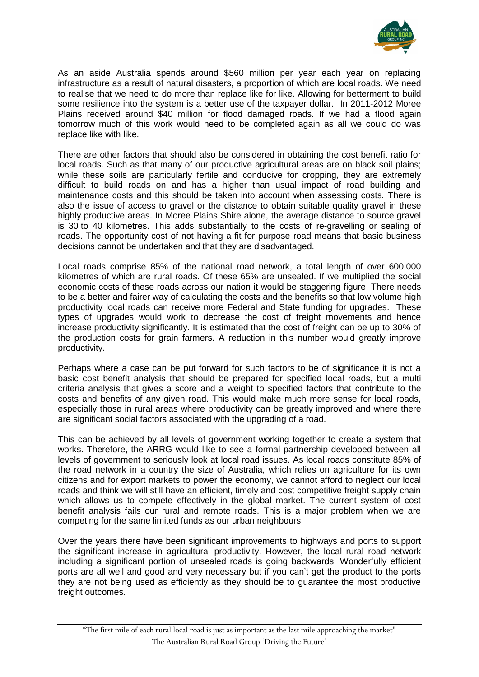

As an aside Australia spends around \$560 million per year each year on replacing infrastructure as a result of natural disasters, a proportion of which are local roads. We need to realise that we need to do more than replace like for like. Allowing for betterment to build some resilience into the system is a better use of the taxpayer dollar. In 2011-2012 Moree Plains received around \$40 million for flood damaged roads. If we had a flood again tomorrow much of this work would need to be completed again as all we could do was replace like with like.

There are other factors that should also be considered in obtaining the cost benefit ratio for local roads. Such as that many of our productive agricultural areas are on black soil plains; while these soils are particularly fertile and conducive for cropping, they are extremely difficult to build roads on and has a higher than usual impact of road building and maintenance costs and this should be taken into account when assessing costs. There is also the issue of access to gravel or the distance to obtain suitable quality gravel in these highly productive areas. In Moree Plains Shire alone, the average distance to source gravel is 30 to 40 kilometres. This adds substantially to the costs of re-gravelling or sealing of roads. The opportunity cost of not having a fit for purpose road means that basic business decisions cannot be undertaken and that they are disadvantaged.

Local roads comprise 85% of the national road network, a total length of over 600,000 kilometres of which are rural roads. Of these 65% are unsealed. If we multiplied the social economic costs of these roads across our nation it would be staggering figure. There needs to be a better and fairer way of calculating the costs and the benefits so that low volume high productivity local roads can receive more Federal and State funding for upgrades. These types of upgrades would work to decrease the cost of freight movements and hence increase productivity significantly. It is estimated that the cost of freight can be up to 30% of the production costs for grain farmers. A reduction in this number would greatly improve productivity.

Perhaps where a case can be put forward for such factors to be of significance it is not a basic cost benefit analysis that should be prepared for specified local roads, but a multi criteria analysis that gives a score and a weight to specified factors that contribute to the costs and benefits of any given road. This would make much more sense for local roads, especially those in rural areas where productivity can be greatly improved and where there are significant social factors associated with the upgrading of a road.

This can be achieved by all levels of government working together to create a system that works. Therefore, the ARRG would like to see a formal partnership developed between all levels of government to seriously look at local road issues. As local roads constitute 85% of the road network in a country the size of Australia, which relies on agriculture for its own citizens and for export markets to power the economy, we cannot afford to neglect our local roads and think we will still have an efficient, timely and cost competitive freight supply chain which allows us to compete effectively in the global market. The current system of cost benefit analysis fails our rural and remote roads. This is a major problem when we are competing for the same limited funds as our urban neighbours.

Over the years there have been significant improvements to highways and ports to support the significant increase in agricultural productivity. However, the local rural road network including a significant portion of unsealed roads is going backwards. Wonderfully efficient ports are all well and good and very necessary but if you can't get the product to the ports they are not being used as efficiently as they should be to guarantee the most productive freight outcomes.

"The first mile of each rural local road is just as important as the last mile approaching the market" The Australian Rural Road Group 'Driving the Future'